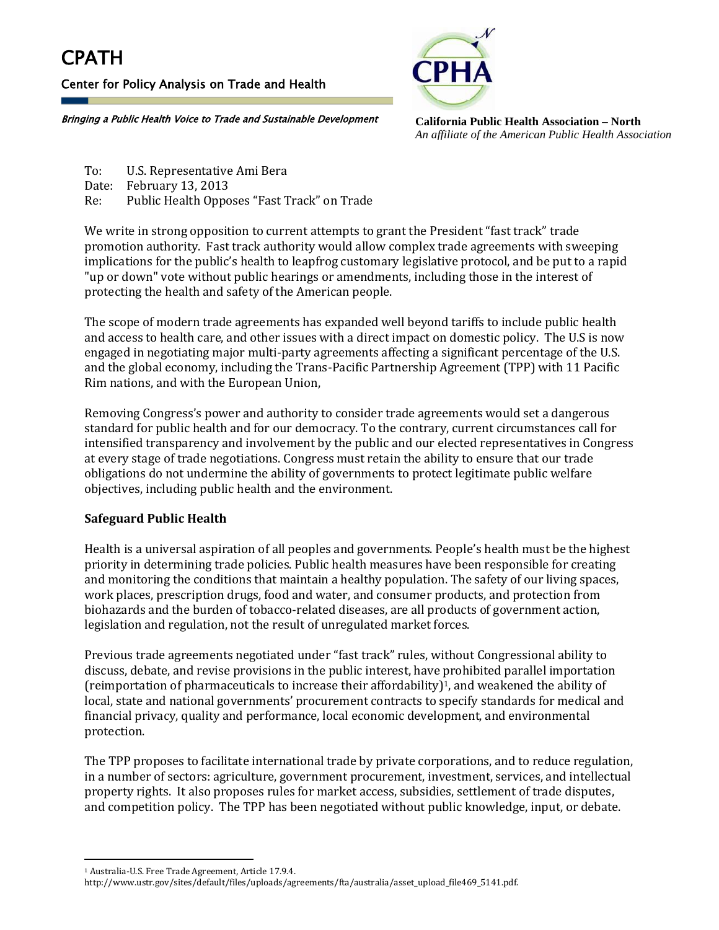## **CPATH**

Center for Policy Analysis on Trade and Health



**California Public Health Association – North** *An affiliate of the American Public Health Association*

Bringing a Public Health Voice to Trade and Sustainable Development

To: U.S. Representative Ami Bera Date: February 13, 2013 Re: Public Health Opposes "Fast Track" on Trade

We write in strong opposition to current attempts to grant the President "fast track" trade promotion authority. Fast track authority would allow complex trade agreements with sweeping implications for the public's health to leapfrog customary legislative protocol, and be put to a rapid "up or down" vote without public hearings or amendments, including those in the interest of protecting the health and safety of the American people.

The scope of modern trade agreements has expanded well beyond tariffs to include public health and access to health care, and other issues with a direct impact on domestic policy. The U.S is now engaged in negotiating major multi-party agreements affecting a significant percentage of the U.S. and the global economy, including the Trans-Pacific Partnership Agreement (TPP) with 11 Pacific Rim nations, and with the European Union,

Removing Congress's power and authority to consider trade agreements would set a dangerous standard for public health and for our democracy. To the contrary, current circumstances call for intensified transparency and involvement by the public and our elected representatives in Congress at every stage of trade negotiations. Congress must retain the ability to ensure that our trade obligations do not undermine the ability of governments to protect legitimate public welfare objectives, including public health and the environment.

## **Safeguard Public Health**

Health is a universal aspiration of all peoples and governments. People's health must be the highest priority in determining trade policies. Public health measures have been responsible for creating and monitoring the conditions that maintain a healthy population. The safety of our living spaces, work places, prescription drugs, food and water, and consumer products, and protection from biohazards and the burden of tobacco-related diseases, are all products of government action, legislation and regulation, not the result of unregulated market forces.

Previous trade agreements negotiated under "fast track" rules, without Congressional ability to discuss, debate, and revise provisions in the public interest, have prohibited parallel importation (reimportation of pharmaceuticals to increase their affordability)1, and weakened the ability of local, state and national governments' procurement contracts to specify standards for medical and financial privacy, quality and performance, local economic development, and environmental protection.

The TPP proposes to facilitate international trade by private corporations, and to reduce regulation, in a number of sectors: agriculture, government procurement, investment, services, and intellectual property rights. It also proposes rules for market access, subsidies, settlement of trade disputes, and competition policy. The TPP has been negotiated without public knowledge, input, or debate.

l

<sup>1</sup> Australia-U.S. Free Trade Agreement, Article 17.9.4.

http://www.ustr.gov/sites/default/files/uploads/agreements/fta/australia/asset\_upload\_file469\_5141.pdf.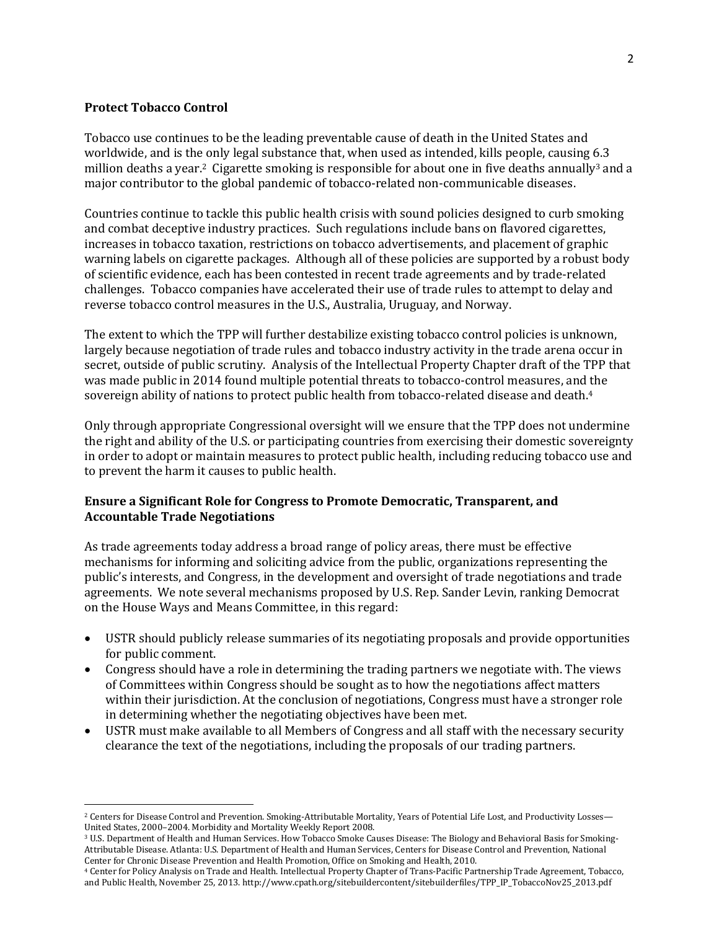## **Protect Tobacco Control**

l

Tobacco use continues to be the leading preventable cause of death in the United States and worldwide, and is the only legal substance that, when used as intended, kills people, causing 6.3 million deaths a year.<sup>2</sup> Cigarette smoking is responsible for about one in five deaths annually<sup>3</sup> and a major contributor to the global pandemic of tobacco-related non-communicable diseases.

Countries continue to tackle this public health crisis with sound policies designed to curb smoking and combat deceptive industry practices. Such regulations include bans on flavored cigarettes, increases in tobacco taxation, restrictions on tobacco advertisements, and placement of graphic warning labels on cigarette packages. Although all of these policies are supported by a robust body of scientific evidence, each has been contested in recent trade agreements and by trade-related challenges. Tobacco companies have accelerated their use of trade rules to attempt to delay and reverse tobacco control measures in the U.S., Australia, Uruguay, and Norway.

The extent to which the TPP will further destabilize existing tobacco control policies is unknown, largely because negotiation of trade rules and tobacco industry activity in the trade arena occur in secret, outside of public scrutiny. Analysis of the Intellectual Property Chapter draft of the TPP that was made public in 2014 found multiple potential threats to tobacco-control measures, and the sovereign ability of nations to protect public health from tobacco-related disease and death.<sup>4</sup>

Only through appropriate Congressional oversight will we ensure that the TPP does not undermine the right and ability of the U.S. or participating countries from exercising their domestic sovereignty in order to adopt or maintain measures to protect public health, including reducing tobacco use and to prevent the harm it causes to public health.

## **Ensure a Significant Role for Congress to Promote Democratic, Transparent, and Accountable Trade Negotiations**

As trade agreements today address a broad range of policy areas, there must be effective mechanisms for informing and soliciting advice from the public, organizations representing the public's interests, and Congress, in the development and oversight of trade negotiations and trade agreements. We note several mechanisms proposed by U.S. Rep. Sander Levin, ranking Democrat on the House Ways and Means Committee, in this regard:

- USTR should publicly release summaries of its negotiating proposals and provide opportunities for public comment.
- Congress should have a role in determining the trading partners we negotiate with. The views of Committees within Congress should be sought as to how the negotiations affect matters within their jurisdiction. At the conclusion of negotiations, Congress must have a stronger role in determining whether the negotiating objectives have been met.
- USTR must make available to all Members of Congress and all staff with the necessary security clearance the text of the negotiations, including the proposals of our trading partners.

<sup>&</sup>lt;sup>2</sup> Centers for Disease Control and Prevention. Smoking-Attributable Mortality, Years of Potential Life Lost, and Productivity Losses— United States, 2000–2004. Morbidity and Mortality Weekly Report 2008.

<sup>3</sup> U.S. Department of Health and Human Services. How Tobacco Smoke Causes Disease: The Biology and Behavioral Basis for Smoking-Attributable Disease. Atlanta: U.S. Department of Health and Human Services, Centers for Disease Control and Prevention, National Center for Chronic Disease Prevention and Health Promotion, Office on Smoking and Health, 2010.

<sup>4</sup> Center for Policy Analysis on Trade and Health. Intellectual Property Chapter of Trans-Pacific Partnership Trade Agreement, Tobacco, and Public Health, November 25, 2013. http://www.cpath.org/sitebuildercontent/sitebuilderfiles/TPP\_IP\_TobaccoNov25\_2013.pdf